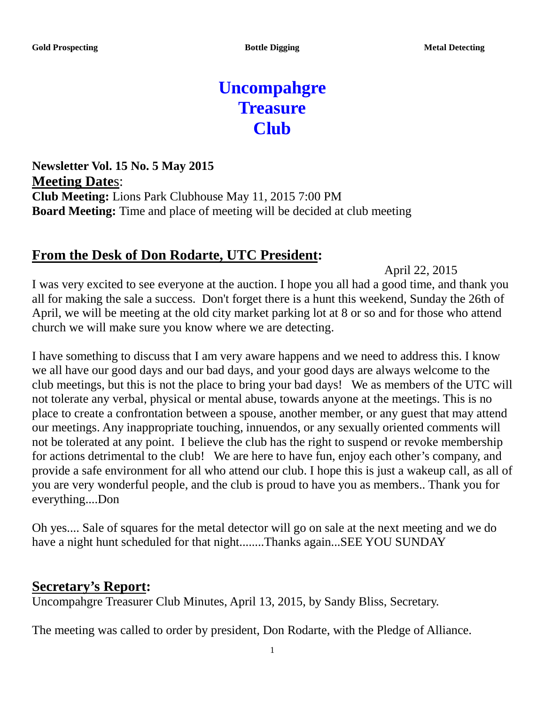# **Uncompahgre Treasure Club**

**Newsletter Vol. 15 No. 5 May 2015 Meeting Date**s: **Club Meeting:** Lions Park Clubhouse May 11, 2015 7:00 PM **Board Meeting:** Time and place of meeting will be decided at club meeting

#### **From the Desk of Don Rodarte, UTC President:**

April 22, 2015

I was very excited to see everyone at the auction. I hope you all had a good time, and thank you all for making the sale a success. Don't forget there is a hunt this weekend, Sunday the 26th of April, we will be meeting at the old city market parking lot at 8 or so and for those who attend church we will make sure you know where we are detecting.

I have something to discuss that I am very aware happens and we need to address this. I know we all have our good days and our bad days, and your good days are always welcome to the club meetings, but this is not the place to bring your bad days! We as members of the UTC will not tolerate any verbal, physical or mental abuse, towards anyone at the meetings. This is no place to create a confrontation between a spouse, another member, or any guest that may attend our meetings. Any inappropriate touching, innuendos, or any sexually oriented comments will not be tolerated at any point. I believe the club has the right to suspend or revoke membership for actions detrimental to the club! We are here to have fun, enjoy each other's company, and provide a safe environment for all who attend our club. I hope this is just a wakeup call, as all of you are very wonderful people, and the club is proud to have you as members.. Thank you for everything....Don

Oh yes.... Sale of squares for the metal detector will go on sale at the next meeting and we do have a night hunt scheduled for that night........Thanks again...SEE YOU SUNDAY

#### **Secretary's Report:**

Uncompahgre Treasurer Club Minutes, April 13, 2015, by Sandy Bliss, Secretary.

The meeting was called to order by president, Don Rodarte, with the Pledge of Alliance.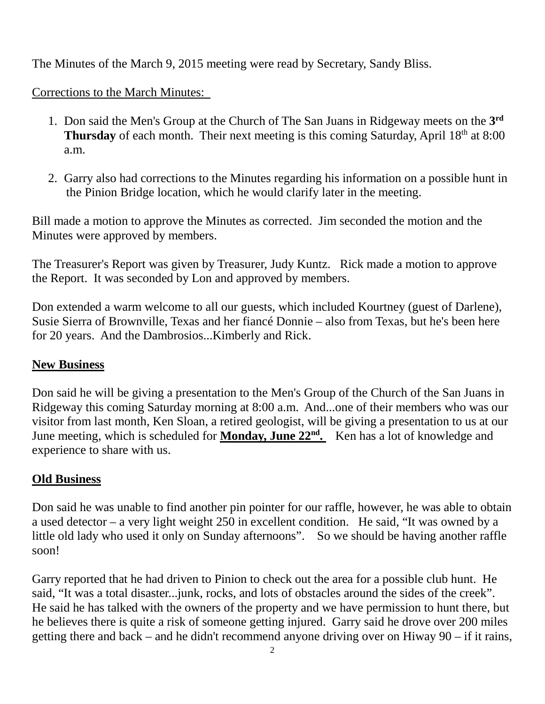The Minutes of the March 9, 2015 meeting were read by Secretary, Sandy Bliss.

Corrections to the March Minutes:

- 1. Don said the Men's Group at the Church of The San Juans in Ridgeway meets on the **3rd** Thursday of each month. Their next meeting is this coming Saturday, April 18<sup>th</sup> at 8:00 a.m.
- 2. Garry also had corrections to the Minutes regarding his information on a possible hunt in the Pinion Bridge location, which he would clarify later in the meeting.

Bill made a motion to approve the Minutes as corrected. Jim seconded the motion and the Minutes were approved by members.

The Treasurer's Report was given by Treasurer, Judy Kuntz. Rick made a motion to approve the Report. It was seconded by Lon and approved by members.

Don extended a warm welcome to all our guests, which included Kourtney (guest of Darlene), Susie Sierra of Brownville, Texas and her fiancé Donnie – also from Texas, but he's been here for 20 years. And the Dambrosios...Kimberly and Rick.

### **New Business**

Don said he will be giving a presentation to the Men's Group of the Church of the San Juans in Ridgeway this coming Saturday morning at 8:00 a.m. And...one of their members who was our visitor from last month, Ken Sloan, a retired geologist, will be giving a presentation to us at our June meeting, which is scheduled for **Monday, June 22nd.** Ken has a lot of knowledge and experience to share with us.

### **Old Business**

Don said he was unable to find another pin pointer for our raffle, however, he was able to obtain a used detector – a very light weight 250 in excellent condition. He said, "It was owned by a little old lady who used it only on Sunday afternoons". So we should be having another raffle soon!

Garry reported that he had driven to Pinion to check out the area for a possible club hunt. He said, "It was a total disaster...junk, rocks, and lots of obstacles around the sides of the creek". He said he has talked with the owners of the property and we have permission to hunt there, but he believes there is quite a risk of someone getting injured. Garry said he drove over 200 miles getting there and back – and he didn't recommend anyone driving over on Hiway 90 – if it rains,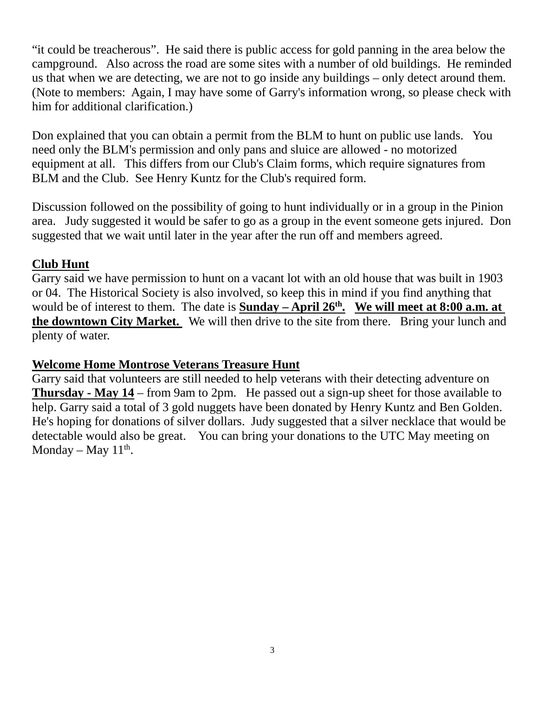"it could be treacherous". He said there is public access for gold panning in the area below the campground. Also across the road are some sites with a number of old buildings. He reminded us that when we are detecting, we are not to go inside any buildings – only detect around them. (Note to members: Again, I may have some of Garry's information wrong, so please check with him for additional clarification.)

Don explained that you can obtain a permit from the BLM to hunt on public use lands. You need only the BLM's permission and only pans and sluice are allowed - no motorized equipment at all. This differs from our Club's Claim forms, which require signatures from BLM and the Club. See Henry Kuntz for the Club's required form.

Discussion followed on the possibility of going to hunt individually or in a group in the Pinion area. Judy suggested it would be safer to go as a group in the event someone gets injured. Don suggested that we wait until later in the year after the run off and members agreed.

#### **Club Hunt**

Garry said we have permission to hunt on a vacant lot with an old house that was built in 1903 or 04. The Historical Society is also involved, so keep this in mind if you find anything that would be of interest to them. The date is **Sunday** – **April 26<sup>th</sup>.** We will meet at 8:00 a.m. at **the downtown City Market.** We will then drive to the site from there. Bring your lunch and plenty of water.

#### **Welcome Home Montrose Veterans Treasure Hunt**

Garry said that volunteers are still needed to help veterans with their detecting adventure on **Thursday - May 14** – from 9am to 2pm. He passed out a sign-up sheet for those available to help. Garry said a total of 3 gold nuggets have been donated by Henry Kuntz and Ben Golden. He's hoping for donations of silver dollars. Judy suggested that a silver necklace that would be detectable would also be great. You can bring your donations to the UTC May meeting on Monday – May  $11<sup>th</sup>$ .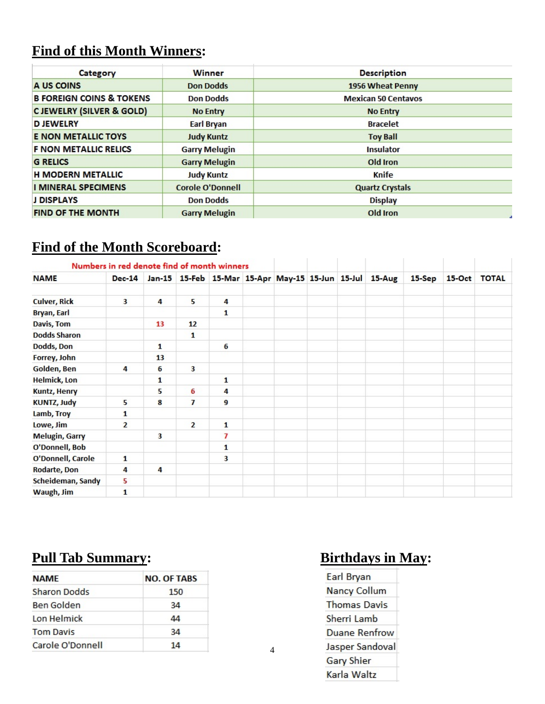## **Find of this Month Winners:**

| Category                            | <b>Winner</b>           | <b>Description</b>         |  |  |  |
|-------------------------------------|-------------------------|----------------------------|--|--|--|
| A US COINS                          | <b>Don Dodds</b>        | 1956 Wheat Penny           |  |  |  |
| <b>B FOREIGN COINS &amp; TOKENS</b> | <b>Don Dodds</b>        | <b>Mexican 50 Centavos</b> |  |  |  |
| <b>CJEWELRY (SILVER &amp; GOLD)</b> | <b>No Entry</b>         | <b>No Entry</b>            |  |  |  |
| <b>D JEWELRY</b>                    | Earl Bryan              | <b>Bracelet</b>            |  |  |  |
| <b>E NON METALLIC TOYS</b>          | <b>Judy Kuntz</b>       | <b>Toy Ball</b>            |  |  |  |
| <b>F NON METALLIC RELICS</b>        | <b>Garry Melugin</b>    | <b>Insulator</b>           |  |  |  |
| <b>G RELICS</b>                     | <b>Garry Melugin</b>    | Old Iron                   |  |  |  |
| <b>H MODERN METALLIC</b>            | <b>Judy Kuntz</b>       | Knife                      |  |  |  |
| <b>I MINERAL SPECIMENS</b>          | <b>Corole O'Donnell</b> | <b>Quartz Crystals</b>     |  |  |  |
| <b>J DISPLAYS</b>                   | <b>Don Dodds</b>        | <b>Display</b>             |  |  |  |
| <b>FIND OF THE MONTH</b>            | <b>Garry Melugin</b>    | Old Iron                   |  |  |  |

## **Find of the Month Scoreboard:**

| Numbers in red denote find of month winners |                |    |                   |                                                  |  |  |        |          |          |              |
|---------------------------------------------|----------------|----|-------------------|--------------------------------------------------|--|--|--------|----------|----------|--------------|
| <b>NAME</b>                                 | <b>Dec-14</b>  |    |                   | Jan-15 15-Feb 15-Mar 15-Apr May-15 15-Jun 15-Jul |  |  | 15-Aug | $15-Sep$ | $15-Oct$ | <b>TOTAL</b> |
| <b>Culver, Rick</b>                         | 3              | 4  | 5                 | 4                                                |  |  |        |          |          |              |
| <b>Bryan, Earl</b>                          |                |    |                   | 1                                                |  |  |        |          |          |              |
| Davis, Tom                                  |                | 13 | $12 \overline{ }$ |                                                  |  |  |        |          |          |              |
| <b>Dodds Sharon</b>                         |                |    | 1                 |                                                  |  |  |        |          |          |              |
| Dodds, Don                                  |                | 1  |                   | 6                                                |  |  |        |          |          |              |
| Forrey, John                                |                | 13 |                   |                                                  |  |  |        |          |          |              |
| Golden, Ben                                 | 4              | 6  | 3                 |                                                  |  |  |        |          |          |              |
| <b>Helmick, Lon</b>                         |                | 1  |                   | 1                                                |  |  |        |          |          |              |
| <b>Kuntz, Henry</b>                         |                | 5  | 6                 | 4                                                |  |  |        |          |          |              |
| <b>KUNTZ, Judy</b>                          | 5              | 8  | $\overline{I}$    | 9                                                |  |  |        |          |          |              |
| Lamb, Troy                                  | 1              |    |                   |                                                  |  |  |        |          |          |              |
| Lowe, Jim                                   | $\overline{2}$ |    | $\overline{2}$    | 1                                                |  |  |        |          |          |              |
| <b>Melugin, Garry</b>                       |                | 3  |                   | 7                                                |  |  |        |          |          |              |
| O'Donnell, Bob                              |                |    |                   | 1                                                |  |  |        |          |          |              |
| O'Donnell, Carole                           | 1              |    |                   | 3                                                |  |  |        |          |          |              |
| Rodarte, Don                                | 4              | 4  |                   |                                                  |  |  |        |          |          |              |
| Scheideman, Sandy                           | 5              |    |                   |                                                  |  |  |        |          |          |              |
| Waugh, Jim                                  | $\mathbf{1}$   |    |                   |                                                  |  |  |        |          |          |              |

## **Pull Tab Summary: Birthdays in May:**

| <b>NAME</b>         | <b>NO. OF TABS</b> |  |  |  |  |
|---------------------|--------------------|--|--|--|--|
| <b>Sharon Dodds</b> | 150                |  |  |  |  |
| Ben Golden          | 34                 |  |  |  |  |
| Lon Helmick         | 44                 |  |  |  |  |
| <b>Tom Davis</b>    | 34                 |  |  |  |  |
| Carole O'Donnell    | 14                 |  |  |  |  |

| Earl Bryan           |
|----------------------|
| <b>Nancy Collum</b>  |
| <b>Thomas Davis</b>  |
| Sherri Lamb          |
| <b>Duane Renfrow</b> |
| Jasper Sandoval      |
| <b>Gary Shier</b>    |
| Karla Waltz          |

4